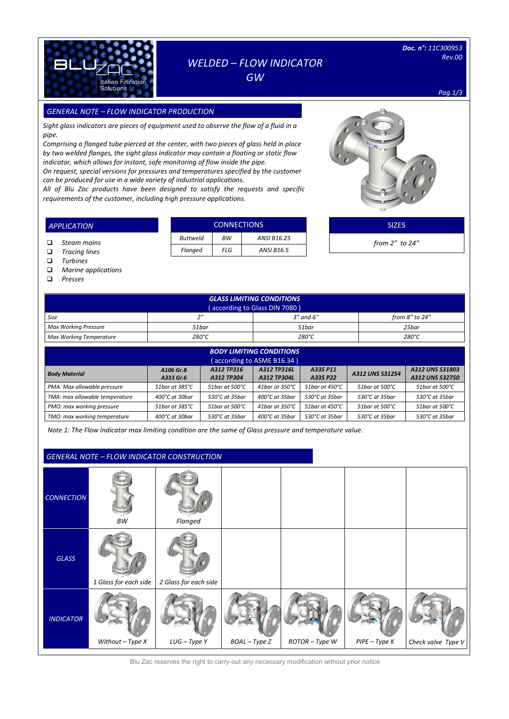

## *WELDED – FLOW INDICATOR GW*

*Doc. n°: 11C300953 Rev.00* 

*Pag.1/3*

## *GENERAL NOTE – FLOW INDICATOR PRODUCTION SIZES*

*Sight glass indicators are pieces of equipment used to observe the flow of a fluid in a pipe.*

*Comprising a flanged tube pierced at the center, with two pieces of glass held in place by two welded flanges, the sight glass indicator may contain a floating or static flow indicator, which allows for instant, safe monitoring of flow inside the pipe.*

*On request, special versions for pressures and temperatures specified by the customer can be produced for use in a wide variety of industrial applications.*

*All of Blu Zac products have been designed to satisfy the requests and specific requirements of the customer, including high pressure applications.* 



| <b>APPLICATION</b> |                 | <b>CONNECTIONS</b> |                   | <b>SIZES</b>         |
|--------------------|-----------------|--------------------|-------------------|----------------------|
| Steam mains        | <b>Buttweld</b> | ВW                 | ANSI B16.25       | from $2''$ to $24''$ |
| Tracing lines      | Flanged         | FLG                | <b>ANSI B16.5</b> |                      |

- *Turbines*
- *Marine applications*

*Presses*

| <b>GLASS LIMITING CONDITIONS</b><br>(according to Glass DIN 7080) |          |                 |                 |  |  |  |  |
|-------------------------------------------------------------------|----------|-----------------|-----------------|--|--|--|--|
| Size                                                              | $\gamma$ | $3''$ and $6''$ | from 8" to 24"  |  |  |  |  |
| Max Working Pressure                                              | 51bar    | 51bar           | 25bar           |  |  |  |  |
| <b>Max Working Temperature</b>                                    | 280°C    | 280°C           | $280^{\circ}$ C |  |  |  |  |

| <b>BODY LIMITING CONDITIONS</b><br>(according to ASME B16.34)                                                                                                                             |                           |                           |                           |                           |                |                |  |  |  |
|-------------------------------------------------------------------------------------------------------------------------------------------------------------------------------------------|---------------------------|---------------------------|---------------------------|---------------------------|----------------|----------------|--|--|--|
| A312 TP316<br>A312 TP316L<br>A312 UNS S31803<br>A335 P11<br>A106 Gr.B<br>A312 UNS S31254<br><b>Body Material</b><br>A312 UNS S32750<br>A333 Gr.6<br>A312 TP304<br>A312 TP304L<br>A335 P22 |                           |                           |                           |                           |                |                |  |  |  |
| PMA: Max allowable pressure                                                                                                                                                               | 51bar at 385°C            | 51bar at 500°C            | 41bar at 350°C            | 51bar at 450°C            | 51bar at 500°C | 51bar at 500°C |  |  |  |
| TMA: max allowable temperature                                                                                                                                                            | $400^{\circ}$ C at 30 har | $530^{\circ}$ C at 35 bar | 400 $^{\circ}$ C at 35bar | $530^{\circ}$ C at 35 bar | 530°C at 35bar | 530°C at 35bar |  |  |  |
| PMO: max working pressure                                                                                                                                                                 | 51bar at 385°C            | 51bar at 500°C            | 41bar at 350°C            | 51bar at 450°C            | 51bar at 500°C | 51bar at 500°C |  |  |  |
| TMO: max working temperature                                                                                                                                                              | 400°C at 30bar            | 530°C at 35bar            | 400°C at 35bar            | $530^{\circ}$ C at 35 bar | 530°C at 35bar | 530°C at 35bar |  |  |  |

*Note 1: The Flow indicator max limiting condition are the same of Glass pressure and temperature value.*

# *CONNECTION BW Flanged GLASS 1 Glass for each side 2 Glass for each side INDICATOR Without – Type X LUG – Type Y BOAL – Type Z ROTOR – Type W PIPE – Type K Check valve Type V GENERAL NOTE – FLOW INDICATOR CONSTRUCTION*

Blu Zac reserves the right to carry-out any necessary modification without prior notice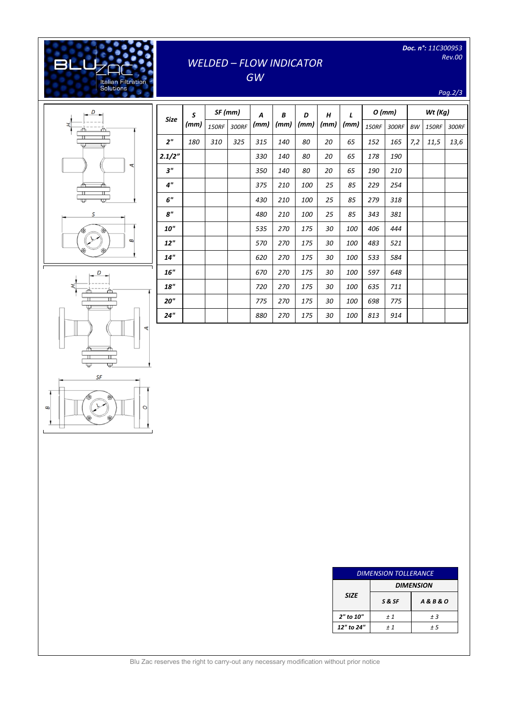| Doc. n <sup>o</sup> : 11C300953 |
|---------------------------------|
| Rev.00                          |

## *WELDED – FLOW INDICATOR*

*GW*

*Pag.2/3*



[Digitare il testo]

Italian Filtration<br>Solutions

**BLL** 

| Size            | S    |              | SF (mm) | A    | B    | D    | H    | $\mathbf{r}$ | 0 (mm)       |       | Wt (Kg)   |              |       |
|-----------------|------|--------------|---------|------|------|------|------|--------------|--------------|-------|-----------|--------------|-------|
|                 | (mm) | <b>150RF</b> | 300RF   | (mm) | (mm) | (mm) | (mm) | (mm)         | <b>150RF</b> | 300RF | <b>BW</b> | <b>150RF</b> | 300RF |
| 2 <sup>n</sup>  | 180  | 310          | 325     | 315  | 140  | 80   | 20   | 65           | 152          | 165   | 7,2       | 11,5         | 13,6  |
| 2.1/2"          |      |              |         | 330  | 140  | 80   | 20   | 65           | 178          | 190   |           |              |       |
| 3"              |      |              |         | 350  | 140  | 80   | 20   | 65           | 190          | 210   |           |              |       |
| 4 <sup>''</sup> |      |              |         | 375  | 210  | 100  | 25   | 85           | 229          | 254   |           |              |       |
| 6"              |      |              |         | 430  | 210  | 100  | 25   | 85           | 279          | 318   |           |              |       |
| 8"              |      |              |         | 480  | 210  | 100  | 25   | 85           | 343          | 381   |           |              |       |
| <b>10"</b>      |      |              |         | 535  | 270  | 175  | 30   | 100          | 406          | 444   |           |              |       |
| 12"             |      |              |         | 570  | 270  | 175  | 30   | 100          | 483          | 521   |           |              |       |
| 14"             |      |              |         | 620  | 270  | 175  | 30   | 100          | 533          | 584   |           |              |       |
| 16"             |      |              |         | 670  | 270  | 175  | 30   | 100          | 597          | 648   |           |              |       |
| 18"             |      |              |         | 720  | 270  | 175  | 30   | 100          | 635          | 711   |           |              |       |
| 20"             |      |              |         | 775  | 270  | 175  | 30   | 100          | 698          | 775   |           |              |       |
| 24"             |      |              |         | 880  | 270  | 175  | 30   | 100          | 813          | 914   |           |              |       |



| <b>DIMENSION TOLLERANCE</b> |                  |                      |  |  |  |  |
|-----------------------------|------------------|----------------------|--|--|--|--|
| <b>SIZE</b>                 | <b>DIMENSION</b> |                      |  |  |  |  |
|                             | S & SF           | <b>A&amp;B&amp;O</b> |  |  |  |  |
| 2" to 10"                   | ±1               | ±3                   |  |  |  |  |
| 12" to 24"                  | $+1$             | ± 5                  |  |  |  |  |